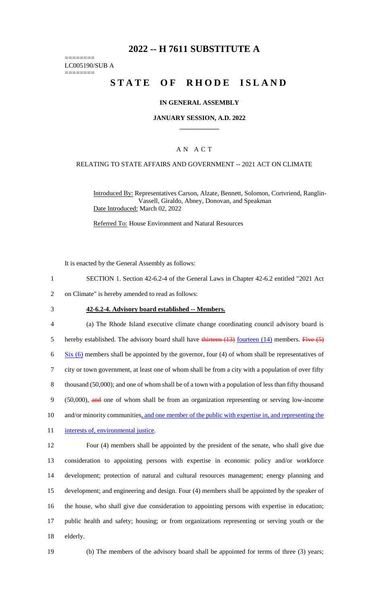# **2022 -- H 7611 SUBSTITUTE A**

LC005190/SUB A

========

 $=$ 

# **STATE OF RHODE ISLAND**

#### **IN GENERAL ASSEMBLY**

#### **JANUARY SESSION, A.D. 2022 \_\_\_\_\_\_\_\_\_\_\_\_**

### A N A C T

#### RELATING TO STATE AFFAIRS AND GOVERNMENT -- 2021 ACT ON CLIMATE

Introduced By: Representatives Carson, Alzate, Bennett, Solomon, Cortvriend, Ranglin-Vassell, Giraldo, Abney, Donovan, and Speakman Date Introduced: March 02, 2022

Referred To: House Environment and Natural Resources

It is enacted by the General Assembly as follows:

- 1 SECTION 1. Section 42-6.2-4 of the General Laws in Chapter 42-6.2 entitled "2021 Act
- 2 on Climate" is hereby amended to read as follows:
- 

# 3 **42-6.2-4. Advisory board established -- Members.**

| $\overline{4}$ | (a) The Rhode Island executive climate change coordinating council advisory board is                                   |
|----------------|------------------------------------------------------------------------------------------------------------------------|
| 5              | hereby established. The advisory board shall have thirteen $(13)$ fourteen $(14)$ members. Five $(5)$                  |
| 6              | $\frac{\text{Six}}{\text{O}}$ members shall be appointed by the governor, four (4) of whom shall be representatives of |
| $\tau$         | city or town government, at least one of whom shall be from a city with a population of over fifty                     |
| 8              | thousand (50,000); and one of whom shall be of a town with a population of less than fifty thousand                    |
| 9              | (50,000), and one of whom shall be from an organization representing or serving low-income                             |
| 10             | and/or minority communities, and one member of the public with expertise in, and representing the                      |
| 11             | interests of, environmental justice.                                                                                   |
| 12             | Four (4) members shall be appointed by the president of the senate, who shall give due                                 |
| 13             | consideration to appointing persons with expertise in economic policy and/or workforce                                 |
| 14             | development; protection of natural and cultural resources management; energy planning and                              |
| 15             | development; and engineering and design. Four (4) members shall be appointed by the speaker of                         |
| 16             | the house, who shall give due consideration to appointing persons with expertise in education;                         |
| 17             | public health and safety; housing; or from organizations representing or serving youth or the                          |
|                |                                                                                                                        |

- 18 elderly.
- 

19 (b) The members of the advisory board shall be appointed for terms of three (3) years;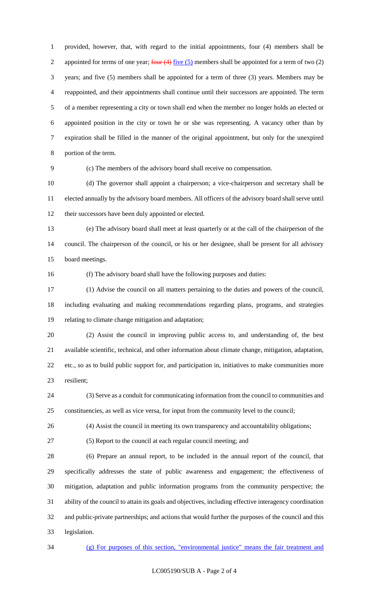provided, however, that, with regard to the initial appointments, four (4) members shall be 2 appointed for terms of one year;  $four(4)$  five (5) members shall be appointed for a term of two (2) years; and five (5) members shall be appointed for a term of three (3) years. Members may be reappointed, and their appointments shall continue until their successors are appointed. The term of a member representing a city or town shall end when the member no longer holds an elected or appointed position in the city or town he or she was representing. A vacancy other than by expiration shall be filled in the manner of the original appointment, but only for the unexpired portion of the term.

(c) The members of the advisory board shall receive no compensation.

 (d) The governor shall appoint a chairperson; a vice-chairperson and secretary shall be elected annually by the advisory board members. All officers of the advisory board shall serve until 12 their successors have been duly appointed or elected.

- (e) The advisory board shall meet at least quarterly or at the call of the chairperson of the council. The chairperson of the council, or his or her designee, shall be present for all advisory board meetings.
- 

(f) The advisory board shall have the following purposes and duties:

 (1) Advise the council on all matters pertaining to the duties and powers of the council, including evaluating and making recommendations regarding plans, programs, and strategies relating to climate change mitigation and adaptation;

 (2) Assist the council in improving public access to, and understanding of, the best available scientific, technical, and other information about climate change, mitigation, adaptation, etc., so as to build public support for, and participation in, initiatives to make communities more resilient;

 (3) Serve as a conduit for communicating information from the council to communities and constituencies, as well as vice versa, for input from the community level to the council;

(4) Assist the council in meeting its own transparency and accountability obligations;

(5) Report to the council at each regular council meeting; and

 (6) Prepare an annual report, to be included in the annual report of the council, that specifically addresses the state of public awareness and engagement; the effectiveness of mitigation, adaptation and public information programs from the community perspective; the ability of the council to attain its goals and objectives, including effective interagency coordination and public-private partnerships; and actions that would further the purposes of the council and this legislation.

(g) For purposes of this section, "environmental justice" means the fair treatment and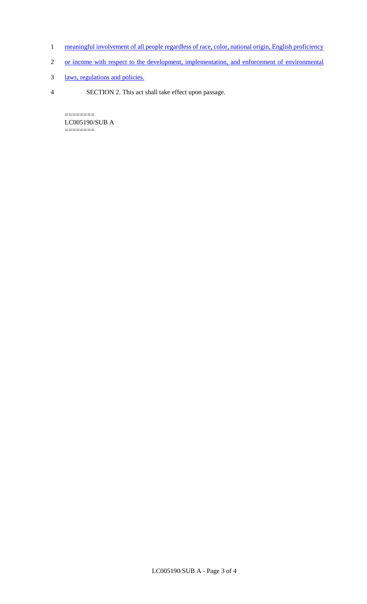- 1 meaningful involvement of all people regardless of race, color, national origin, English proficiency
- 2 or income with respect to the development, implementation, and enforcement of environmental
- 3 laws, regulations and policies.
- 4 SECTION 2. This act shall take effect upon passage.

======== LC005190/SUB A  $=$